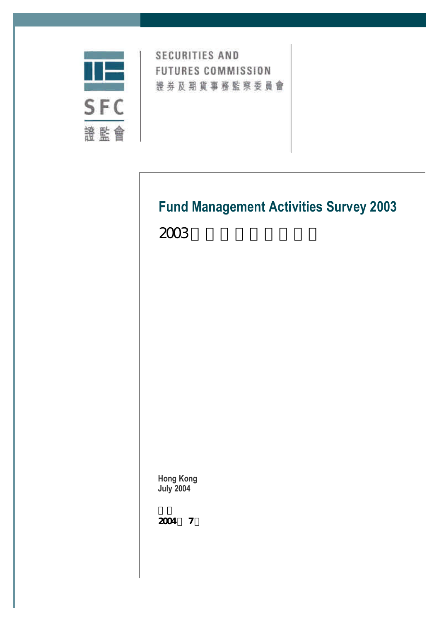

**SECURITIES AND FUTURES COMMISSION** 證券及期貨事務監察委員會

# **Fund Management Activities Survey 2003**

 $2003$ 

**Hong Kong July 2004**

2004 7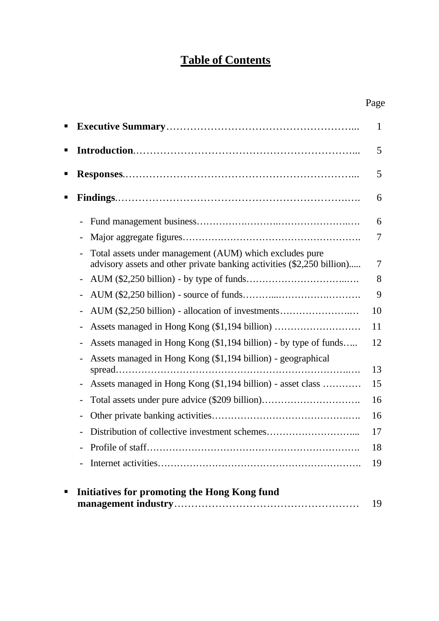# **Table of Contents**

| п |                                                                                                                                   | 1              |
|---|-----------------------------------------------------------------------------------------------------------------------------------|----------------|
| п |                                                                                                                                   | 5              |
| ■ |                                                                                                                                   | 5              |
| ■ |                                                                                                                                   | 6              |
|   |                                                                                                                                   | 6              |
|   |                                                                                                                                   | $\overline{7}$ |
|   | Total assets under management (AUM) which excludes pure<br>advisory assets and other private banking activities (\$2,250 billion) | $\tau$         |
|   |                                                                                                                                   | 8              |
|   |                                                                                                                                   | 9              |
|   | AUM (\$2,250 billion) - allocation of investments                                                                                 | 10             |
|   |                                                                                                                                   | 11             |
|   | Assets managed in Hong Kong (\$1,194 billion) - by type of funds                                                                  | 12             |
|   | Assets managed in Hong Kong (\$1,194 billion) - geographical                                                                      | 13             |
|   | Assets managed in Hong Kong (\$1,194 billion) - asset class                                                                       | 15             |
|   |                                                                                                                                   | 16             |
|   |                                                                                                                                   | 16             |
|   |                                                                                                                                   | 17             |
|   |                                                                                                                                   | 18             |
|   |                                                                                                                                   | 19             |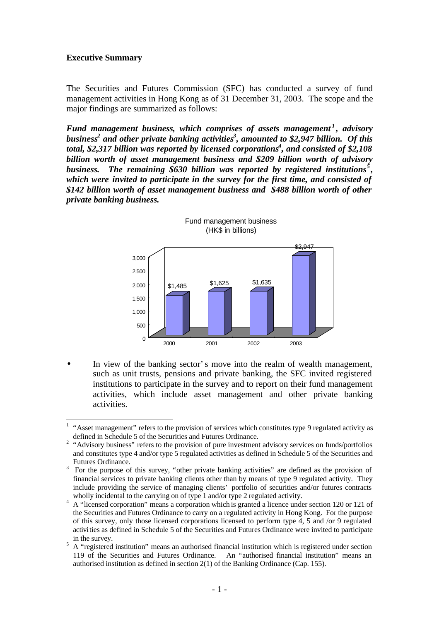#### **Executive Summary**

 $\overline{a}$ 

The Securities and Futures Commission (SFC) has conducted a survey of fund management activities in Hong Kong as of 31 December 31, 2003. The scope and the major findings are summarized as follows:

*Fund management business, which comprises of assets management <sup>1</sup> , advisory business<sup>2</sup> and other private banking activities<sup>3</sup> , amounted to \$2,947 billion. Of this* total, \$2,317 billion was reported by licensed corporations<sup>4</sup>, and consisted of \$2,108 *billion worth of asset management business and \$209 billion worth of advisory* business. The remaining \$630 billion was reported by registered institutions<sup>5</sup>, *which were invited to participate in the survey for the first time, and consisted of \$142 billion worth of asset management business and \$488 billion worth of other private banking business.*



Fund management business (HK\$ in billions)

In view of the banking sector's move into the realm of wealth management, such as unit trusts, pensions and private banking, the SFC invited registered institutions to participate in the survey and to report on their fund management activities, which include asset management and other private banking activities.

 $<sup>1</sup>$  "Asset management" refers to the provision of services which constitutes type 9 regulated activity as</sup> defined in Schedule 5 of the Securities and Futures Ordinance.

<sup>&</sup>lt;sup>2</sup> "Advisory business" refers to the provision of pure investment advisory services on funds/portfolios and constitutes type 4 and/or type 5 regulated activities as defined in Schedule 5 of the Securities and Futures Ordinance.

<sup>&</sup>lt;sup>3</sup> For the purpose of this survey, "other private banking activities" are defined as the provision of financial services to private banking clients other than by means of type 9 regulated activity. They include providing the service of managing clients' portfolio of securities and/or futures contracts wholly incidental to the carrying on of type 1 and/or type 2 regulated activity.

<sup>&</sup>lt;sup>4</sup> A "licensed corporation" means a corporation which is granted a licence under section 120 or 121 of the Securities and Futures Ordinance to carry on a regulated activity in Hong Kong. For the purpose of this survey, only those licensed corporations licensed to perform type 4, 5 and /or 9 regulated activities as defined in Schedule 5 of the Securities and Futures Ordinance were invited to participate in the survey.

<sup>5</sup> A "registered institution" means an authorised financial institution which is registered under section 119 of the Securities and Futures Ordinance. An "authorised financial institution" means an authorised institution as defined in section 2(1) of the Banking Ordinance (Cap. 155).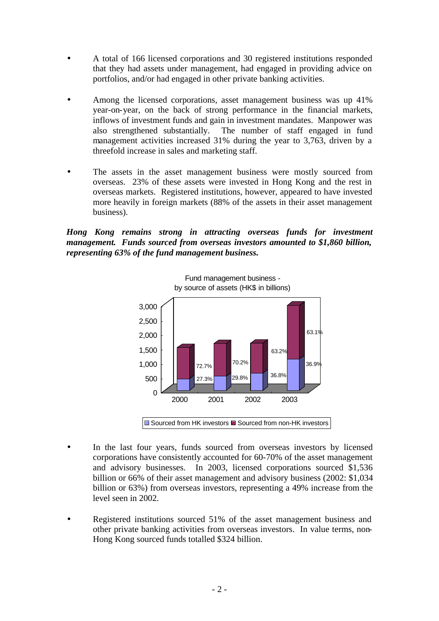- A total of 166 licensed corporations and 30 registered institutions responded that they had assets under management, had engaged in providing advice on portfolios, and/or had engaged in other private banking activities.
- Among the licensed corporations, asset management business was up 41% year-on-year, on the back of strong performance in the financial markets, inflows of investment funds and gain in investment mandates. Manpower was also strengthened substantially. The number of staff engaged in fund management activities increased 31% during the year to 3,763, driven by a threefold increase in sales and marketing staff.
- The assets in the asset management business were mostly sourced from overseas. 23% of these assets were invested in Hong Kong and the rest in overseas markets. Registered institutions, however, appeared to have invested more heavily in foreign markets (88% of the assets in their asset management business).

*Hong Kong remains strong in attracting overseas funds for investment management. Funds sourced from overseas investors amounted to \$1,860 billion, representing 63% of the fund management business.* 



- In the last four years, funds sourced from overseas investors by licensed corporations have consistently accounted for 60-70% of the asset management and advisory businesses. In 2003, licensed corporations sourced \$1,536 billion or 66% of their asset management and advisory business (2002: \$1,034 billion or 63%) from overseas investors, representing a 49% increase from the level seen in 2002.
- Registered institutions sourced 51% of the asset management business and other private banking activities from overseas investors. In value terms, non-Hong Kong sourced funds totalled \$324 billion.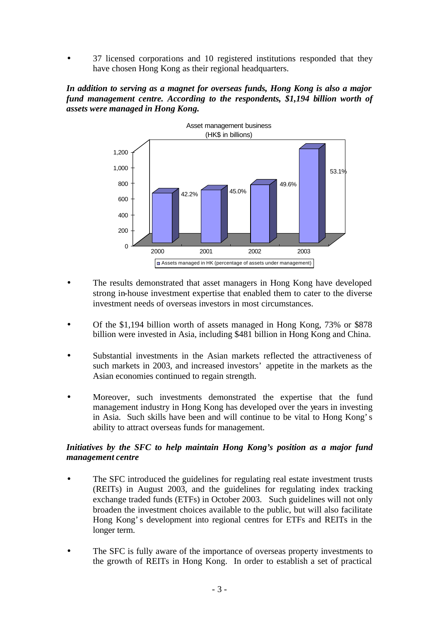• 37 licensed corporations and 10 registered institutions responded that they have chosen Hong Kong as their regional headquarters.

*In addition to serving as a magnet for overseas funds, Hong Kong is also a major fund management centre. According to the respondents, \$1,194 billion worth of assets were managed in Hong Kong.* 



- The results demonstrated that asset managers in Hong Kong have developed strong in-house investment expertise that enabled them to cater to the diverse investment needs of overseas investors in most circumstances.
- Of the \$1,194 billion worth of assets managed in Hong Kong, 73% or \$878 billion were invested in Asia, including \$481 billion in Hong Kong and China.
- Substantial investments in the Asian markets reflected the attractiveness of such markets in 2003, and increased investors' appetite in the markets as the Asian economies continued to regain strength.
- Moreover, such investments demonstrated the expertise that the fund management industry in Hong Kong has developed over the years in investing in Asia. Such skills have been and will continue to be vital to Hong Kong's ability to attract overseas funds for management.

# *Initiatives by the SFC to help maintain Hong Kong's position as a major fund management centre*

- The SFC introduced the guidelines for regulating real estate investment trusts (REITs) in August 2003, and the guidelines for regulating index tracking exchange traded funds (ETFs) in October 2003. Such guidelines will not only broaden the investment choices available to the public, but will also facilitate Hong Kong's development into regional centres for ETFs and REITs in the longer term.
- The SFC is fully aware of the importance of overseas property investments to the growth of REITs in Hong Kong. In order to establish a set of practical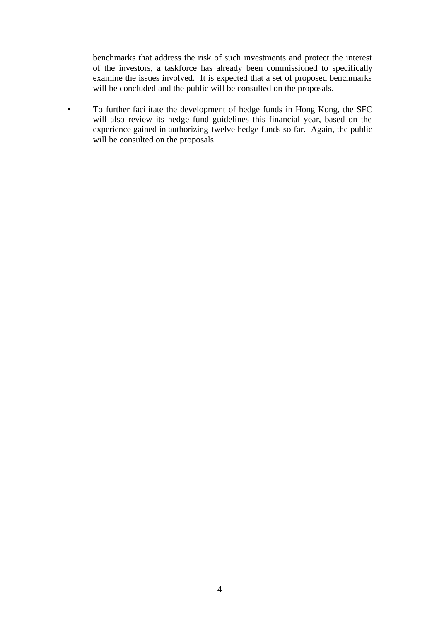benchmarks that address the risk of such investments and protect the interest of the investors, a taskforce has already been commissioned to specifically examine the issues involved. It is expected that a set of proposed benchmarks will be concluded and the public will be consulted on the proposals.

• To further facilitate the development of hedge funds in Hong Kong, the SFC will also review its hedge fund guidelines this financial year, based on the experience gained in authorizing twelve hedge funds so far. Again, the public will be consulted on the proposals.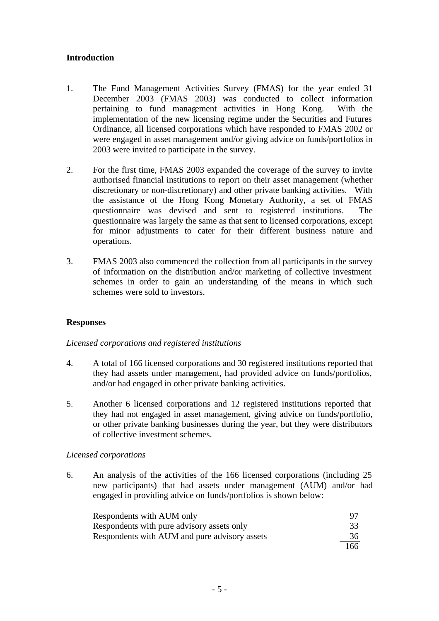#### **Introduction**

- 1. The Fund Management Activities Survey (FMAS) for the year ended 31 December 2003 (FMAS 2003) was conducted to collect information pertaining to fund management activities in Hong Kong. With the implementation of the new licensing regime under the Securities and Futures Ordinance, all licensed corporations which have responded to FMAS 2002 or were engaged in asset management and/or giving advice on funds/portfolios in 2003 were invited to participate in the survey.
- 2. For the first time, FMAS 2003 expanded the coverage of the survey to invite authorised financial institutions to report on their asset management (whether discretionary or non-discretionary) and other private banking activities. With the assistance of the Hong Kong Monetary Authority, a set of FMAS questionnaire was devised and sent to registered institutions. The questionnaire was largely the same as that sent to licensed corporations, except for minor adjustments to cater for their different business nature and operations.
- 3. FMAS 2003 also commenced the collection from all participants in the survey of information on the distribution and/or marketing of collective investment schemes in order to gain an understanding of the means in which such schemes were sold to investors.

#### **Responses**

#### *Licensed corporations and registered institutions*

- 4. A total of 166 licensed corporations and 30 registered institutions reported that they had assets under management, had provided advice on funds/portfolios, and/or had engaged in other private banking activities.
- 5. Another 6 licensed corporations and 12 registered institutions reported that they had not engaged in asset management, giving advice on funds/portfolio, or other private banking businesses during the year, but they were distributors of collective investment schemes.

#### *Licensed corporations*

6. An analysis of the activities of the 166 licensed corporations (including 25 new participants) that had assets under management (AUM) and/or had engaged in providing advice on funds/portfolios is shown below:

| Respondents with AUM only                     | 97  |
|-----------------------------------------------|-----|
| Respondents with pure advisory assets only    | 33  |
| Respondents with AUM and pure advisory assets | 36  |
|                                               | 166 |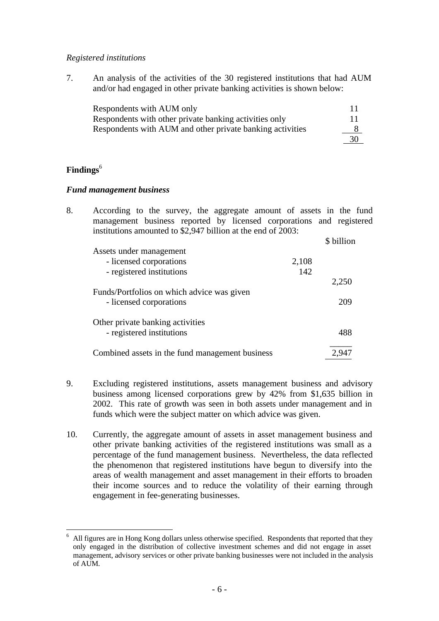#### *Registered institutions*

7. An analysis of the activities of the 30 registered institutions that had AUM and/or had engaged in other private banking activities is shown below:

| Respondents with AUM only                                 |    |
|-----------------------------------------------------------|----|
| Respondents with other private banking activities only    | 11 |
| Respondents with AUM and other private banking activities |    |
|                                                           | 30 |

# **Findings**<sup>6</sup>

l

#### *Fund management business*

|                                            |                                                                                     | \$ billion                                                                                                                                                                                                  |
|--------------------------------------------|-------------------------------------------------------------------------------------|-------------------------------------------------------------------------------------------------------------------------------------------------------------------------------------------------------------|
| Assets under management                    |                                                                                     |                                                                                                                                                                                                             |
| - licensed corporations                    | 2,108                                                                               |                                                                                                                                                                                                             |
| - registered institutions                  | 142                                                                                 |                                                                                                                                                                                                             |
|                                            |                                                                                     | 2,250                                                                                                                                                                                                       |
| Funds/Portfolios on which advice was given |                                                                                     |                                                                                                                                                                                                             |
| - licensed corporations                    |                                                                                     | 209                                                                                                                                                                                                         |
|                                            |                                                                                     |                                                                                                                                                                                                             |
| - registered institutions                  |                                                                                     | 488                                                                                                                                                                                                         |
|                                            |                                                                                     | 2,947                                                                                                                                                                                                       |
|                                            | Other private banking activities<br>Combined assets in the fund management business | According to the survey, the aggregate amount of assets in the fund<br>management business reported by licensed corporations and registered<br>institutions amounted to \$2,947 billion at the end of 2003: |

- 9. Excluding registered institutions, assets management business and advisory business among licensed corporations grew by 42% from \$1,635 billion in 2002. This rate of growth was seen in both assets under management and in funds which were the subject matter on which advice was given.
- 10. Currently, the aggregate amount of assets in asset management business and other private banking activities of the registered institutions was small as a percentage of the fund management business. Nevertheless, the data reflected the phenomenon that registered institutions have begun to diversify into the areas of wealth management and asset management in their efforts to broaden their income sources and to reduce the volatility of their earning through engagement in fee-generating businesses.

<sup>6</sup> All figures are in Hong Kong dollars unless otherwise specified. Respondents that reported that they only engaged in the distribution of collective investment schemes and did not engage in asset management, advisory services or other private banking businesses were not included in the analysis of AUM.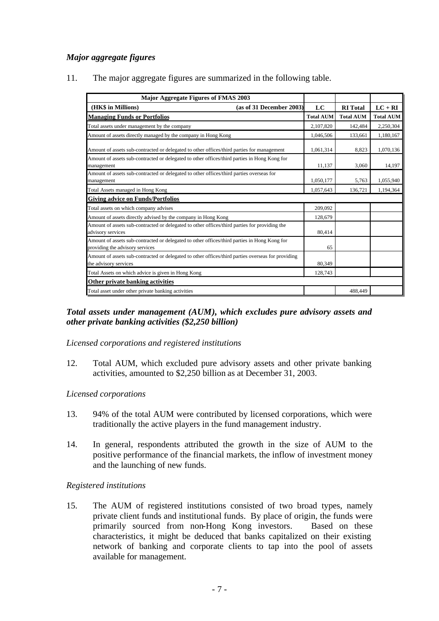# *Major aggregate figures*

11. The major aggregate figures are summarized in the following table.

| <b>Major Aggregate Figures of FMAS 2003</b>                                                                                     |                  |                  |                  |
|---------------------------------------------------------------------------------------------------------------------------------|------------------|------------------|------------------|
| (as of 31 December 2003)<br>(HK\$ in Millions)                                                                                  | LC               | <b>RI</b> Total  | $LC + RI$        |
| <b>Managing Funds or Portfolios</b>                                                                                             | <b>Total AUM</b> | <b>Total AUM</b> | <b>Total AUM</b> |
| Total assets under management by the company                                                                                    | 2,107,820        | 142,484          | 2,250,304        |
| Amount of assets directly managed by the company in Hong Kong                                                                   | 1,046,506        | 133,661          | 1,180,167        |
| Amount of assets sub-contracted or delegated to other offices/third parties for management                                      | 1,061,314        | 8,823            | 1,070,136        |
| Amount of assets sub-contracted or delegated to other offices/third parties in Hong Kong for<br>management                      | 11.137           | 3,060            | 14,197           |
| Amount of assets sub-contracted or delegated to other offices/third parties overseas for<br>management                          | 1,050,177        | 5,763            | 1,055,940        |
| Total Assets managed in Hong Kong                                                                                               | 1,057,643        | 136,721          | 1,194,364        |
| <b>Giving advice on Funds/Portfolios</b>                                                                                        |                  |                  |                  |
| Total assets on which company advises                                                                                           | 209,092          |                  |                  |
| Amount of assets directly advised by the company in Hong Kong                                                                   | 128,679          |                  |                  |
| Amount of assets sub-contracted or delegated to other offices/third parties for providing the<br>advisory services              | 80,414           |                  |                  |
| Amount of assets sub-contracted or delegated to other offices/third parties in Hong Kong for<br>providing the advisory services | 65               |                  |                  |
| Amount of assets sub-contracted or delegated to other offices/third parties overseas for providing<br>the advisory services     | 80,349           |                  |                  |
| Total Assets on which advice is given in Hong Kong                                                                              | 128,743          |                  |                  |
| Other private banking activities                                                                                                |                  |                  |                  |
| Total asset under other private banking activities                                                                              |                  | 488,449          |                  |

# *Total assets under management (AUM), which excludes pure advisory assets and other private banking activities (\$2,250 billion)*

*Licensed corporations and registered institutions*

12. Total AUM, which excluded pure advisory assets and other private banking activities, amounted to \$2,250 billion as at December 31, 2003.

#### *Licensed corporations*

- 13. 94% of the total AUM were contributed by licensed corporations, which were traditionally the active players in the fund management industry.
- 14. In general, respondents attributed the growth in the size of AUM to the positive performance of the financial markets, the inflow of investment money and the launching of new funds.

#### *Registered institutions*

15. The AUM of registered institutions consisted of two broad types, namely private client funds and institutional funds. By place of origin, the funds were primarily sourced from non-Hong Kong investors. Based on these characteristics, it might be deduced that banks capitalized on their existing network of banking and corporate clients to tap into the pool of assets available for management.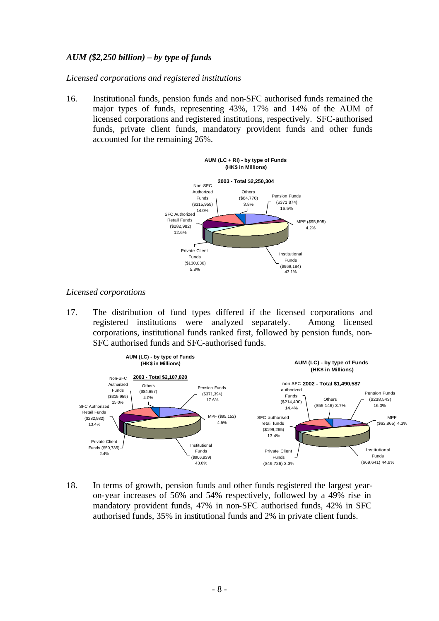# *AUM (\$2,250 billion) – by type of funds*

*Licensed corporations and registered institutions*

16. Institutional funds, pension funds and non-SFC authorised funds remained the major types of funds, representing 43%, 17% and 14% of the AUM of licensed corporations and registered institutions, respectively. SFC-authorised funds, private client funds, mandatory provident funds and other funds accounted for the remaining 26%.



*Licensed corporations*

17. The distribution of fund types differed if the licensed corporations and registered institutions were analyzed separately. Among licensed corporations, institutional funds ranked first, followed by pension funds, non-SFC authorised funds and SFC-authorised funds.



18. In terms of growth, pension funds and other funds registered the largest yearon-year increases of 56% and 54% respectively, followed by a 49% rise in mandatory provident funds, 47% in non-SFC authorised funds, 42% in SFC authorised funds, 35% in institutional funds and 2% in private client funds.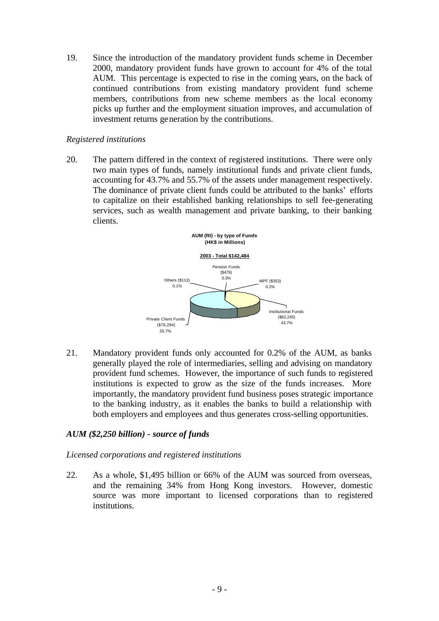19. Since the introduction of the mandatory provident funds scheme in December 2000, mandatory provident funds have grown to account for 4% of the total AUM. This percentage is expected to rise in the coming years, on the back of continued contributions from existing mandatory provident fund scheme members, contributions from new scheme members as the local economy picks up further and the employment situation improves, and accumulation of investment returns generation by the contributions.

## *Registered institutions*

20. The pattern differed in the context of registered institutions. There were only two main types of funds, namely institutional funds and private client funds, accounting for 43.7% and 55.7% of the assets under management respectively. The dominance of private client funds could be attributed to the banks' efforts to capitalize on their established banking relationships to sell fee-generating services, such as wealth management and private banking, to their banking clients.



21. Mandatory provident funds only accounted for 0.2% of the AUM, as banks generally played the role of intermediaries, selling and advising on mandatory provident fund schemes. However, the importance of such funds to registered institutions is expected to grow as the size of the funds increases. More importantly, the mandatory provident fund business poses strategic importance to the banking industry, as it enables the banks to build a relationship with both employers and employees and thus generates cross-selling opportunities.

# *AUM (\$2,250 billion) - source of funds*

#### *Licensed corporations and registered institutions*

22. As a whole, \$1,495 billion or 66% of the AUM was sourced from overseas, and the remaining 34% from Hong Kong investors. However, domestic source was more important to licensed corporations than to registered institutions.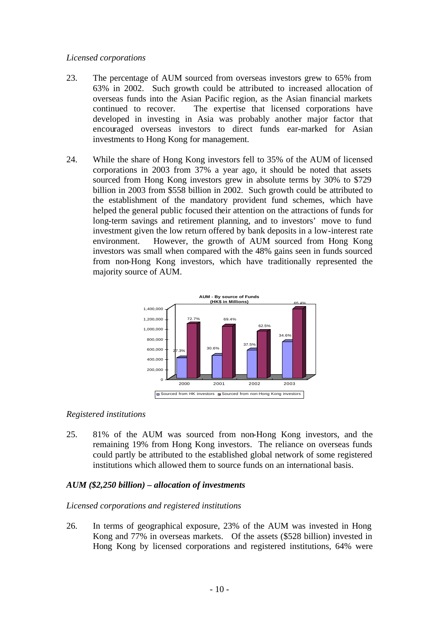#### *Licensed corporations*

- 23. The percentage of AUM sourced from overseas investors grew to 65% from 63% in 2002. Such growth could be attributed to increased allocation of overseas funds into the Asian Pacific region, as the Asian financial markets continued to recover. The expertise that licensed corporations have developed in investing in Asia was probably another major factor that encouraged overseas investors to direct funds ear-marked for Asian investments to Hong Kong for management.
- 24. While the share of Hong Kong investors fell to 35% of the AUM of licensed corporations in 2003 from 37% a year ago, it should be noted that assets sourced from Hong Kong investors grew in absolute terms by 30% to \$729 billion in 2003 from \$558 billion in 2002. Such growth could be attributed to the establishment of the mandatory provident fund schemes, which have helped the general public focused their attention on the attractions of funds for long-term savings and retirement planning, and to investors' move to fund investment given the low return offered by bank deposits in a low-interest rate environment. However, the growth of AUM sourced from Hong Kong investors was small when compared with the 48% gains seen in funds sourced from non-Hong Kong investors, which have traditionally represented the majority source of AUM.



# *Registered institutions*

25. 81% of the AUM was sourced from non-Hong Kong investors, and the remaining 19% from Hong Kong investors. The reliance on overseas funds could partly be attributed to the established global network of some registered institutions which allowed them to source funds on an international basis.

# *AUM (\$2,250 billion) – allocation of investments*

# *Licensed corporations and registered institutions*

26. In terms of geographical exposure, 23% of the AUM was invested in Hong Kong and 77% in overseas markets. Of the assets (\$528 billion) invested in Hong Kong by licensed corporations and registered institutions, 64% were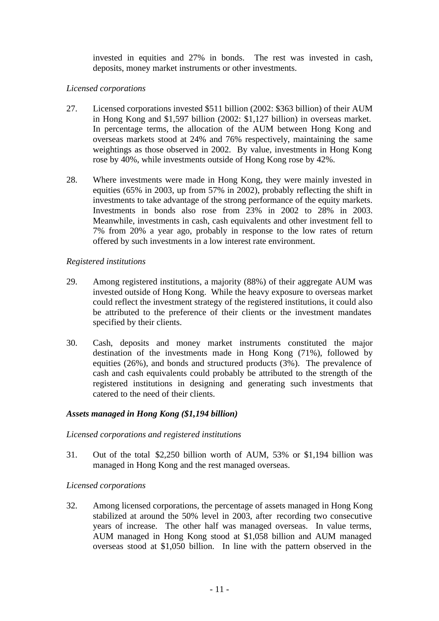invested in equities and 27% in bonds. The rest was invested in cash, deposits, money market instruments or other investments.

# *Licensed corporations*

- 27. Licensed corporations invested \$511 billion (2002: \$363 billion) of their AUM in Hong Kong and \$1,597 billion (2002: \$1,127 billion) in overseas market. In percentage terms, the allocation of the AUM between Hong Kong and overseas markets stood at 24% and 76% respectively, maintaining the same weightings as those observed in 2002. By value, investments in Hong Kong rose by 40%, while investments outside of Hong Kong rose by 42%.
- 28. Where investments were made in Hong Kong, they were mainly invested in equities (65% in 2003, up from 57% in 2002), probably reflecting the shift in investments to take advantage of the strong performance of the equity markets. Investments in bonds also rose from 23% in 2002 to 28% in 2003. Meanwhile, investments in cash, cash equivalents and other investment fell to 7% from 20% a year ago, probably in response to the low rates of return offered by such investments in a low interest rate environment.

# *Registered institutions*

- 29. Among registered institutions, a majority (88%) of their aggregate AUM was invested outside of Hong Kong. While the heavy exposure to overseas market could reflect the investment strategy of the registered institutions, it could also be attributed to the preference of their clients or the investment mandates specified by their clients.
- 30. Cash, deposits and money market instruments constituted the major destination of the investments made in Hong Kong (71%), followed by equities (26%), and bonds and structured products (3%). The prevalence of cash and cash equivalents could probably be attributed to the strength of the registered institutions in designing and generating such investments that catered to the need of their clients.

# *Assets managed in Hong Kong (\$1,194 billion)*

# *Licensed corporations and registered institutions*

31. Out of the total \$2,250 billion worth of AUM, 53% or \$1,194 billion was managed in Hong Kong and the rest managed overseas.

# *Licensed corporations*

32. Among licensed corporations, the percentage of assets managed in Hong Kong stabilized at around the 50% level in 2003, after recording two consecutive years of increase. The other half was managed overseas. In value terms, AUM managed in Hong Kong stood at \$1,058 billion and AUM managed overseas stood at \$1,050 billion. In line with the pattern observed in the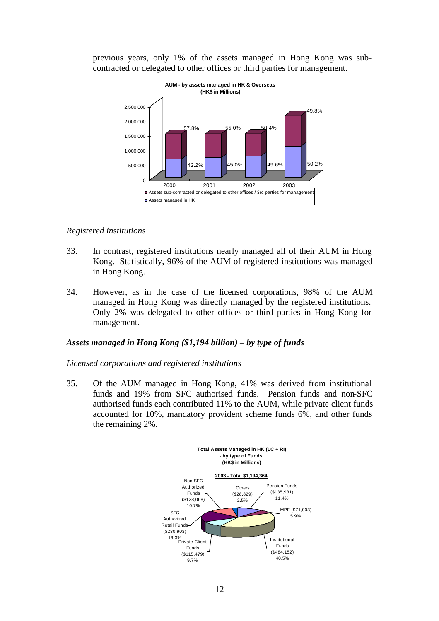previous years, only 1% of the assets managed in Hong Kong was subcontracted or delegated to other offices or third parties for management.



#### *Registered institutions*

- 33. In contrast, registered institutions nearly managed all of their AUM in Hong Kong. Statistically, 96% of the AUM of registered institutions was managed in Hong Kong.
- 34. However, as in the case of the licensed corporations, 98% of the AUM managed in Hong Kong was directly managed by the registered institutions. Only 2% was delegated to other offices or third parties in Hong Kong for management.

#### *Assets managed in Hong Kong (\$1,194 billion) – by type of funds*

#### *Licensed corporations and registered institutions*

35. Of the AUM managed in Hong Kong, 41% was derived from institutional funds and 19% from SFC authorised funds. Pension funds and non-SFC authorised funds each contributed 11% to the AUM, while private client funds accounted for 10%, mandatory provident scheme funds 6%, and other funds the remaining 2%.

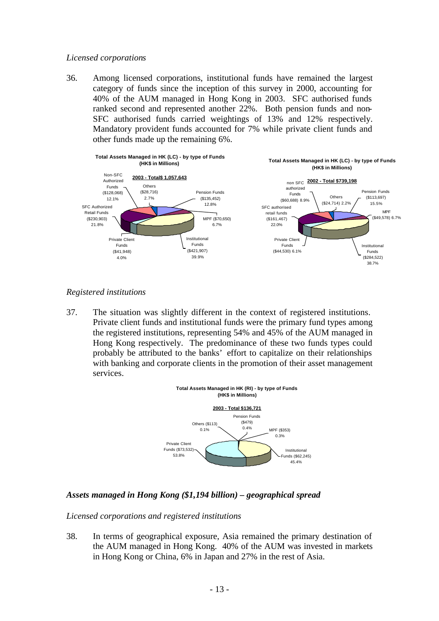#### *Licensed corporations*

36. Among licensed corporations, institutional funds have remained the largest category of funds since the inception of this survey in 2000, accounting for 40% of the AUM managed in Hong Kong in 2003. SFC authorised funds ranked second and represented another 22%. Both pension funds and non-SFC authorised funds carried weightings of 13% and 12% respectively. Mandatory provident funds accounted for 7% while private client funds and other funds made up the remaining 6%.



#### *Registered institutions*

37. The situation was slightly different in the context of registered institutions. Private client funds and institutional funds were the primary fund types among the registered institutions, representing 54% and 45% of the AUM managed in Hong Kong respectively. The predominance of these two funds types could probably be attributed to the banks' effort to capitalize on their relationships with banking and corporate clients in the promotion of their asset management services.



# *Assets managed in Hong Kong (\$1,194 billion) – geographical spread*

# *Licensed corporations and registered institutions*

38. In terms of geographical exposure, Asia remained the primary destination of the AUM managed in Hong Kong. 40% of the AUM was invested in markets in Hong Kong or China, 6% in Japan and 27% in the rest of Asia.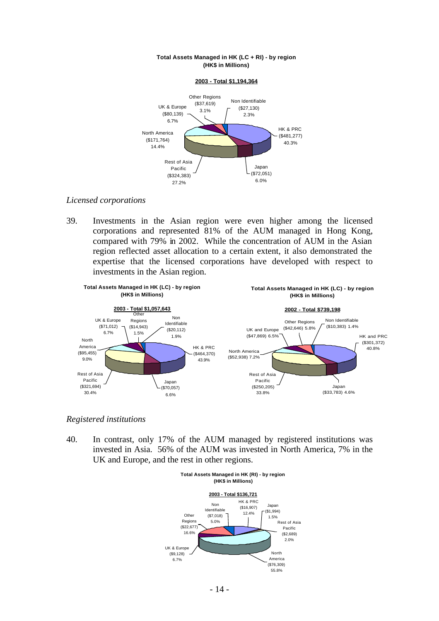

#### **Total Assets Managed in HK (LC + RI) - by region (HK\$ in Millions)**

# *Licensed corporations*

39. Investments in the Asian region were even higher among the licensed corporations and represented 81% of the AUM managed in Hong Kong, compared with 79% in 2002. While the concentration of AUM in the Asian region reflected asset allocation to a certain extent, it also demonstrated the expertise that the licensed corporations have developed with respect to investments in the Asian region.



# *Registered institutions*

40. In contrast, only 17% of the AUM managed by registered institutions was invested in Asia. 56% of the AUM was invested in North America, 7% in the UK and Europe, and the rest in other regions.

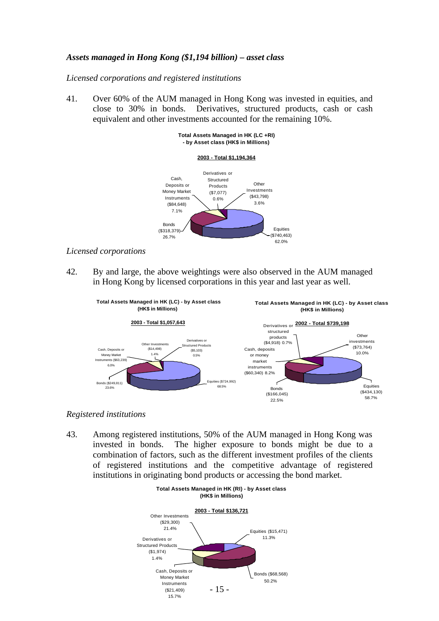#### *Assets managed in Hong Kong (\$1,194 billion) – asset class*

*Licensed corporations and registered institutions*

41. Over 60% of the AUM managed in Hong Kong was invested in equities, and close to 30% in bonds. Derivatives, structured products, cash or cash equivalent and other investments accounted for the remaining 10%.

#### **Total Assets Managed in HK (LC +RI) - by Asset class (HK\$ in Millions)**





#### *Licensed corporations*

42. By and large, the above weightings were also observed in the AUM managed in Hong Kong by licensed corporations in this year and last year as well.



#### *Registered institutions*

43. Among registered institutions, 50% of the AUM managed in Hong Kong was invested in bonds. The higher exposure to bonds might be due to a combination of factors, such as the different investment profiles of the clients of registered institutions and the competitive advantage of registered institutions in originating bond products or accessing the bond market.

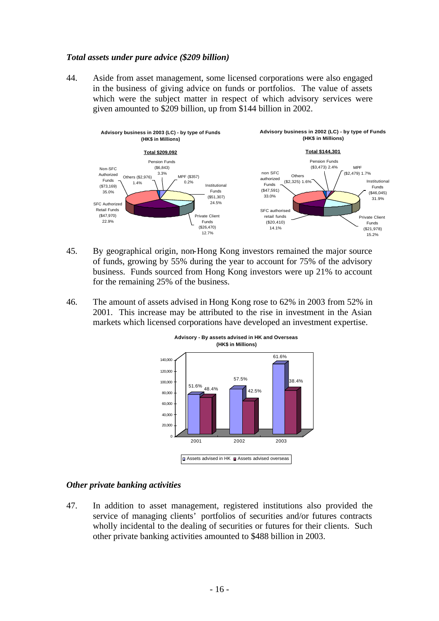#### *Total assets under pure advice (\$209 billion)*

44. Aside from asset management, some licensed corporations were also engaged in the business of giving advice on funds or portfolios. The value of assets which were the subject matter in respect of which advisory services were given amounted to \$209 billion, up from \$144 billion in 2002.



- 45. By geographical origin, non-Hong Kong investors remained the major source of funds, growing by 55% during the year to account for 75% of the advisory business. Funds sourced from Hong Kong investors were up 21% to account for the remaining 25% of the business.
- 46. The amount of assets advised in Hong Kong rose to 62% in 2003 from 52% in 2001. This increase may be attributed to the rise in investment in the Asian markets which licensed corporations have developed an investment expertise.



#### *Other private banking activities*

47. In addition to asset management, registered institutions also provided the service of managing clients' portfolios of securities and/or futures contracts wholly incidental to the dealing of securities or futures for their clients. Such other private banking activities amounted to \$488 billion in 2003.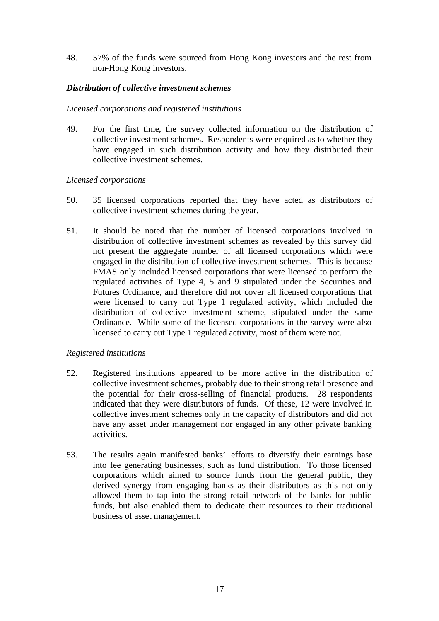48. 57% of the funds were sourced from Hong Kong investors and the rest from non-Hong Kong investors.

# *Distribution of collective investment schemes*

#### *Licensed corporations and registered institutions*

49. For the first time, the survey collected information on the distribution of collective investment schemes. Respondents were enquired as to whether they have engaged in such distribution activity and how they distributed their collective investment schemes.

#### *Licensed corporations*

- 50. 35 licensed corporations reported that they have acted as distributors of collective investment schemes during the year.
- 51. It should be noted that the number of licensed corporations involved in distribution of collective investment schemes as revealed by this survey did not present the aggregate number of all licensed corporations which were engaged in the distribution of collective investment schemes. This is because FMAS only included licensed corporations that were licensed to perform the regulated activities of Type 4, 5 and 9 stipulated under the Securities and Futures Ordinance, and therefore did not cover all licensed corporations that were licensed to carry out Type 1 regulated activity, which included the distribution of collective investme nt scheme, stipulated under the same Ordinance. While some of the licensed corporations in the survey were also licensed to carry out Type 1 regulated activity, most of them were not.

#### *Registered institutions*

- 52. Registered institutions appeared to be more active in the distribution of collective investment schemes, probably due to their strong retail presence and the potential for their cross-selling of financial products. 28 respondents indicated that they were distributors of funds. Of these, 12 were involved in collective investment schemes only in the capacity of distributors and did not have any asset under management nor engaged in any other private banking activities.
- 53. The results again manifested banks' efforts to diversify their earnings base into fee generating businesses, such as fund distribution. To those licensed corporations which aimed to source funds from the general public, they derived synergy from engaging banks as their distributors as this not only allowed them to tap into the strong retail network of the banks for public funds, but also enabled them to dedicate their resources to their traditional business of asset management.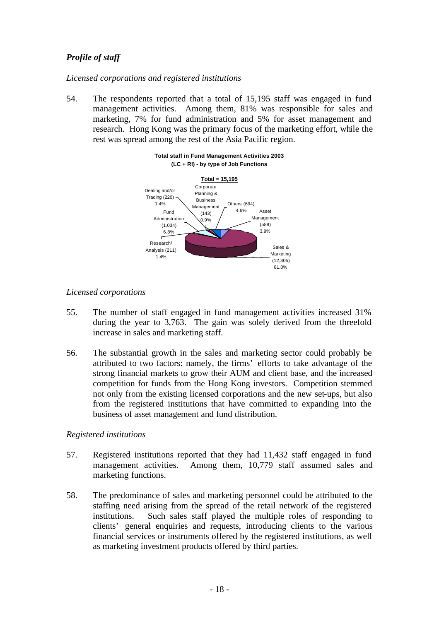# *Profile of staff*

*Licensed corporations and registered institutions*

54. The respondents reported that a total of 15,195 staff was engaged in fund management activities. Among them, 81% was responsible for sales and marketing, 7% for fund administration and 5% for asset management and research. Hong Kong was the primary focus of the marketing effort, while the rest was spread among the rest of the Asia Pacific region.



#### **Total staff in Fund Management Activities 2003 (LC + RI) - by type of Job Functions**

# *Licensed corporations*

- 55. The number of staff engaged in fund management activities increased 31% during the year to 3,763. The gain was solely derived from the threefold increase in sales and marketing staff.
- 56. The substantial growth in the sales and marketing sector could probably be attributed to two factors: namely, the firms' efforts to take advantage of the strong financial markets to grow their AUM and client base, and the increased competition for funds from the Hong Kong investors. Competition stemmed not only from the existing licensed corporations and the new set-ups, but also from the registered institutions that have committed to expanding into the business of asset management and fund distribution.

# *Registered institutions*

- 57. Registered institutions reported that they had 11,432 staff engaged in fund management activities. Among them, 10,779 staff assumed sales and marketing functions.
- 58. The predominance of sales and marketing personnel could be attributed to the staffing need arising from the spread of the retail network of the registered institutions. Such sales staff played the multiple roles of responding to clients' general enquiries and requests, introducing clients to the various financial services or instruments offered by the registered institutions, as well as marketing investment products offered by third parties.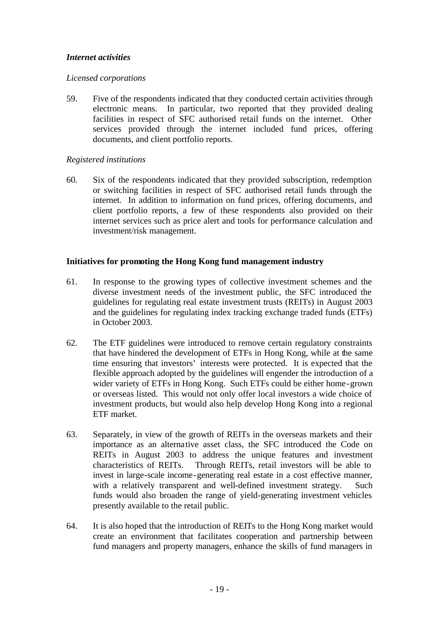# *Internet activities*

#### *Licensed corporations*

59. Five of the respondents indicated that they conducted certain activities through electronic means. In particular, two reported that they provided dealing facilities in respect of SFC authorised retail funds on the internet. Other services provided through the internet included fund prices, offering documents, and client portfolio reports.

#### *Registered institutions*

60. Six of the respondents indicated that they provided subscription, redemption or switching facilities in respect of SFC authorised retail funds through the internet. In addition to information on fund prices, offering documents, and client portfolio reports, a few of these respondents also provided on their internet services such as price alert and tools for performance calculation and investment/risk management.

#### **Initiatives for promoting the Hong Kong fund management industry**

- 61. In response to the growing types of collective investment schemes and the diverse investment needs of the investment public, the SFC introduced the guidelines for regulating real estate investment trusts (REITs) in August 2003 and the guidelines for regulating index tracking exchange traded funds (ETFs) in October 2003.
- 62. The ETF guidelines were introduced to remove certain regulatory constraints that have hindered the development of ETFs in Hong Kong, while at the same time ensuring that investors' interests were protected. It is expected that the flexible approach adopted by the guidelines will engender the introduction of a wider variety of ETFs in Hong Kong. Such ETFs could be either home-grown or overseas listed. This would not only offer local investors a wide choice of investment products, but would also help develop Hong Kong into a regional ETF market.
- 63. Separately, in view of the growth of REITs in the overseas markets and their importance as an alternative asset class, the SFC introduced the Code on REITs in August 2003 to address the unique features and investment characteristics of REITs. Through REITs, retail investors will be able to invest in large-scale income-generating real estate in a cost effective manner, with a relatively transparent and well-defined investment strategy. Such funds would also broaden the range of yield-generating investment vehicles presently available to the retail public.
- 64. It is also hoped that the introduction of REITs to the Hong Kong market would create an environment that facilitates cooperation and partnership between fund managers and property managers, enhance the skills of fund managers in